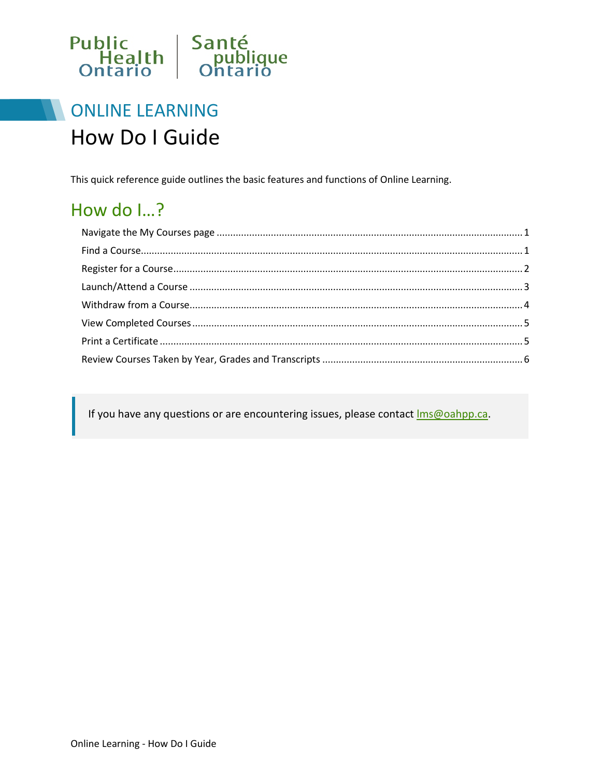

# **ONLINE LEARNING** How Do I Guide

This quick reference guide outlines the basic features and functions of Online Learning.

## How do  $\ldots$ ?

If you have any questions or are encountering issues, please contact Ims@oahpp.ca.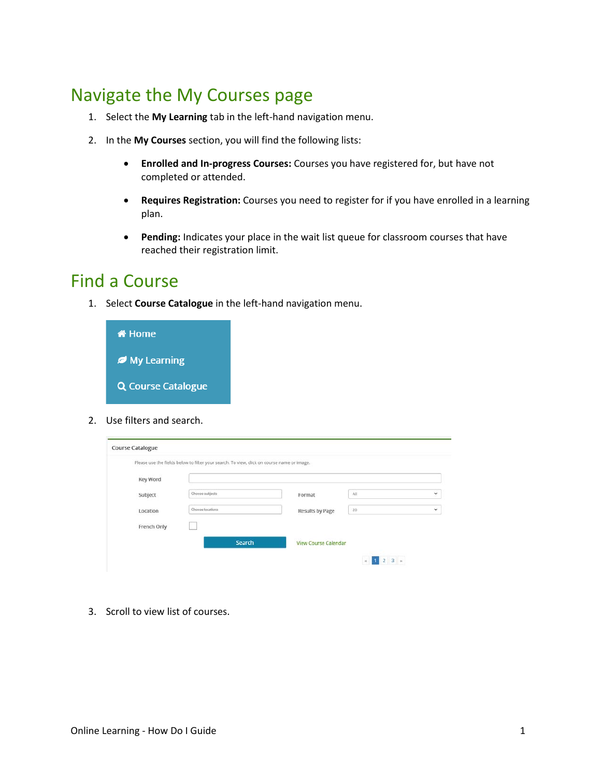#### <span id="page-1-0"></span>Navigate the My Courses page

- 1. Select the **My Learning** tab in the left-hand navigation menu.
- 2. In the **My Courses** section, you will find the following lists:
	- **Enrolled and In-progress Courses:** Courses you have registered for, but have not completed or attended.
	- **Requires Registration:** Courses you need to register for if you have enrolled in a learning plan.
	- **Pending:** Indicates your place in the wait list queue for classroom courses that have reached their registration limit.

#### <span id="page-1-1"></span>Find a Course

1. Select **Course Catalogue** in the left-hand navigation menu.



2. Use filters and search.

|             | Please use the fields below to filter your search. To view, click on course name or image. |                      |                                                                                                                                                                                                                                                                                                                                                                                                                       |             |
|-------------|--------------------------------------------------------------------------------------------|----------------------|-----------------------------------------------------------------------------------------------------------------------------------------------------------------------------------------------------------------------------------------------------------------------------------------------------------------------------------------------------------------------------------------------------------------------|-------------|
| Key Word    |                                                                                            |                      |                                                                                                                                                                                                                                                                                                                                                                                                                       |             |
| Subject     | Choose subjects                                                                            | Format               | All                                                                                                                                                                                                                                                                                                                                                                                                                   | Y           |
| Location    | Choose locations                                                                           | Results by Page      | 20                                                                                                                                                                                                                                                                                                                                                                                                                    | $\check{~}$ |
| French Only |                                                                                            |                      |                                                                                                                                                                                                                                                                                                                                                                                                                       |             |
|             | Search                                                                                     | View Course Calendar |                                                                                                                                                                                                                                                                                                                                                                                                                       |             |
|             |                                                                                            |                      | $\begin{array}{ c c c c c }\n\hline\n\text{a} & \text{b} & \text{c} & \text{c} & \text{d} & \text{d} & \text{e} \\ \hline\n\text{b} & \text{c} & \text{d} & \text{d} & \text{e} & \text{d} & \text{e} & \text{e} & \text{d} \\ \hline\n\text{d} & \text{d} & \text{e} & \text{d} & \text{e} & \text{d} & \text{e} & \text{d} & \text{e} & \text{d} & \text{e} & \text{d} \\ \hline\n\text{d} & \text{d} & \text{e} &$ |             |

3. Scroll to view list of courses.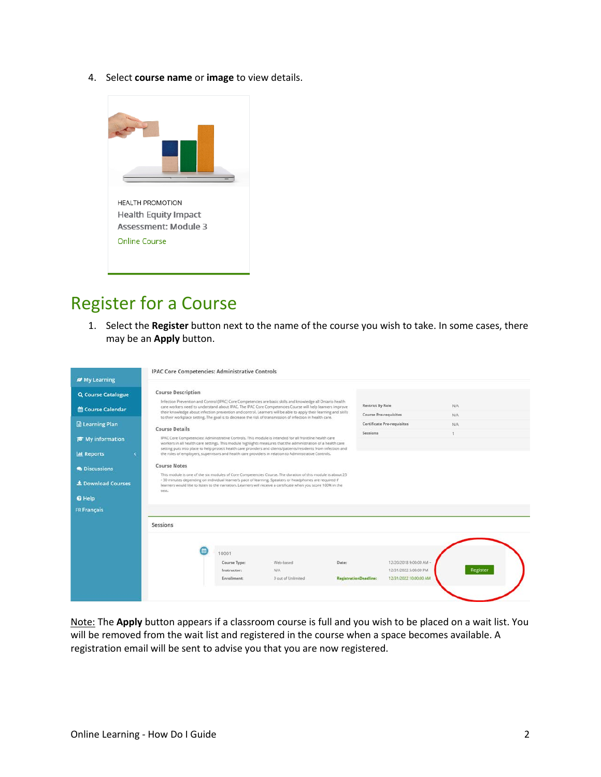4. Select **course name** or **image** to view details.



#### <span id="page-2-0"></span>Register for a Course

1. Select the **Register** button next to the name of the course you wish to take. In some cases, there may be an **Apply** button.

|                                                                                                                                                      | IPAC Core Competencies: Administrative Controls    |                                                     |                                                                                                                                                                                                                                                                                                                                                                                                                                                                                                                                                                                                                                                                                                                                                                                                                                                                                                                 |                                       |                                                                                            |                                                                            |                          |  |
|------------------------------------------------------------------------------------------------------------------------------------------------------|----------------------------------------------------|-----------------------------------------------------|-----------------------------------------------------------------------------------------------------------------------------------------------------------------------------------------------------------------------------------------------------------------------------------------------------------------------------------------------------------------------------------------------------------------------------------------------------------------------------------------------------------------------------------------------------------------------------------------------------------------------------------------------------------------------------------------------------------------------------------------------------------------------------------------------------------------------------------------------------------------------------------------------------------------|---------------------------------------|--------------------------------------------------------------------------------------------|----------------------------------------------------------------------------|--------------------------|--|
| My Learning<br><b>Q</b> Course Catalogue<br>Course Calendar<br><b>El Learning Plan</b><br>$\blacktriangleright$ My information<br><b>III</b> Reports | <b>Course Description</b><br><b>Course Details</b> |                                                     | Infection Prevention and Control (IPAC) Core Competencies are basic skills and knowledge all Ontario health<br>care workers need to understand about IPAC. The IPAC Core Competencies Course will help learners improve<br>their knowledge about infection prevention and control. Learners will be able to apply their learning and skills<br>to their workplace setting. The goal is to decrease the risk of transmission of infection in health care.<br>IPAC Core Competencies: Administrative Controls. This module is intended for all frontline health care<br>workers in all health care settings. This module highlights measures that the administration of a health care<br>setting puts into place to help protect health care providers and clients/patients/residents from infection and<br>the roles of employers, supervisors and health care providers in relation to Administrative Controls. |                                       | <b>Restrict By Role</b><br>Course Pre-requisites<br>Certificate Pre-requisites<br>Sessions |                                                                            | <b>N/A</b><br>N/A<br>N/A |  |
| <b>O</b> Discussions<br><b>± Download Courses</b><br><b>O</b> Help<br><b>FR Français</b>                                                             | <b>Course Notes</b><br>rest.                       |                                                     | This module is one of the six modules of Core Competencies Course. The duration of this module is about 25<br>- 30 minutes depending on individual learner's pace of learning. Speakers or headphones are required if<br>learners would like to listen to the narration. Learners will receive a certificate when you score 100% in the                                                                                                                                                                                                                                                                                                                                                                                                                                                                                                                                                                         |                                       |                                                                                            |                                                                            |                          |  |
|                                                                                                                                                      | Sessions                                           | 10001<br>Course Type:<br>Instructor:<br>Enrollment: | Web-based<br>N/A<br>0 out of Unlimited                                                                                                                                                                                                                                                                                                                                                                                                                                                                                                                                                                                                                                                                                                                                                                                                                                                                          | Date:<br><b>RegistrationDeadline:</b> |                                                                                            | 12/20/2018 9:00:00 AM ~<br>12/31/2022 5:00:00 PM<br>12/31/2022 10:00:00 AM | Register                 |  |

Note: The **Apply** button appears if a classroom course is full and you wish to be placed on a wait list. You will be removed from the wait list and registered in the course when a space becomes available. A registration email will be sent to advise you that you are now registered.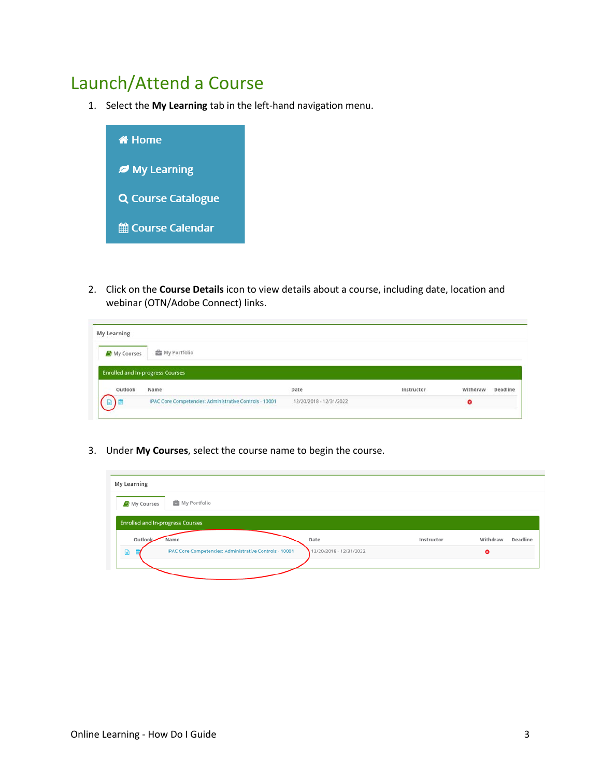## <span id="page-3-0"></span>Launch/Attend a Course

1. Select the **My Learning** tab in the left-hand navigation menu.



2. Click on the **Course Details** icon to view details about a course, including date, location and webinar (OTN/Adobe Connect) links.

| My Learning |                                                 |      |            |          |          |
|-------------|-------------------------------------------------|------|------------|----------|----------|
| My Courses  | <b>图</b> My Portfolio                           |      |            |          |          |
|             |                                                 |      |            |          |          |
| Outlook     | <b>Enrolled and In-progress Courses</b><br>Name | Date | Instructor | Withdraw | Deadline |

3. Under **My Courses**, select the course name to begin the course.

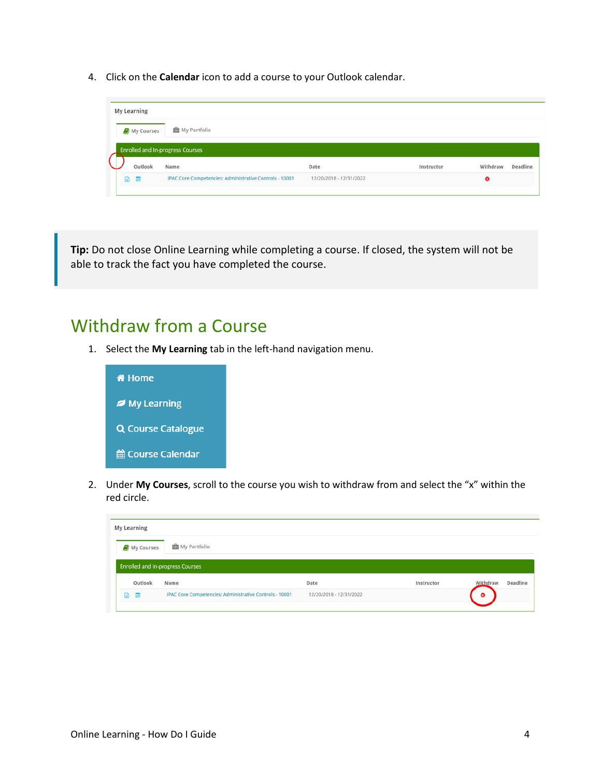4. Click on the **Calendar** icon to add a course to your Outlook calendar.

| My Learning |                                                 |      |            |          |          |
|-------------|-------------------------------------------------|------|------------|----------|----------|
| My Courses  | <b>曲</b> My Portfolio                           |      |            |          |          |
|             |                                                 |      |            |          |          |
| Outlook     | <b>Enrolled and In-progress Courses</b><br>Name | Date | Instructor | Withdraw | Deadline |

**Tip:** Do not close Online Learning while completing a course. If closed, the system will not be able to track the fact you have completed the course.

#### <span id="page-4-0"></span>Withdraw from a Course

1. Select the **My Learning** tab in the left-hand navigation menu.



2. Under **My Courses**, scroll to the course you wish to withdraw from and select the "x" within the red circle.

| My Learning |                                         |      |            |                      |
|-------------|-----------------------------------------|------|------------|----------------------|
| My Courses  | <b>图</b> My Portfolio                   |      |            |                      |
|             | <b>Enrolled and In-progress Courses</b> |      |            |                      |
| Outlook     | Name                                    | Date | Instructor | Deadline<br>Withdraw |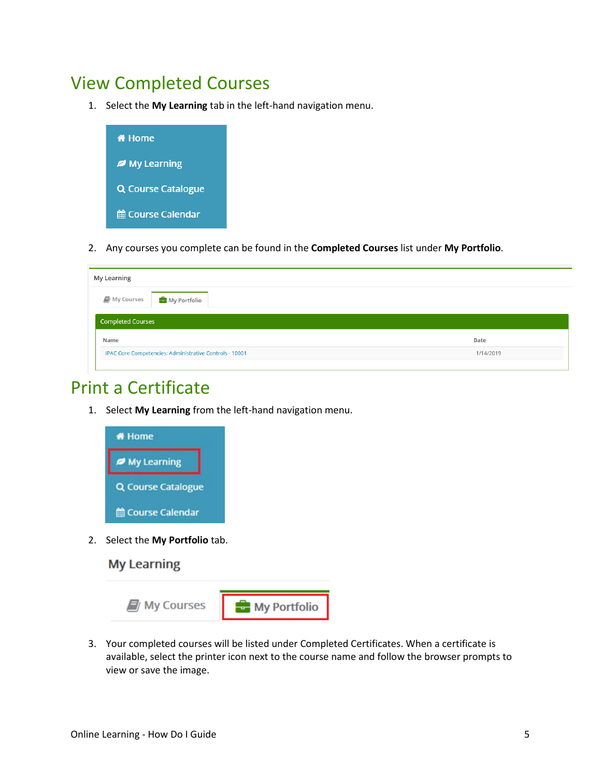## <span id="page-5-0"></span>View Completed Courses

1. Select the **My Learning** tab in the left-hand navigation menu.



2. Any courses you complete can be found in the **Completed Courses** list under **My Portfolio**.

| My Learning                                             |           |
|---------------------------------------------------------|-----------|
| My Portfolio<br>My Courses                              |           |
| <b>Completed Courses</b>                                |           |
| Name                                                    | Date      |
| IPAC Core Competencies: Administrative Controls - 10001 | 1/14/2019 |
|                                                         |           |

## <span id="page-5-1"></span>Print a Certificate

1. Select **My Learning** from the left-hand navigation menu.



2. Select the **My Portfolio** tab.



3. Your completed courses will be listed under Completed Certificates. When a certificate is available, select the printer icon next to the course name and follow the browser prompts to view or save the image.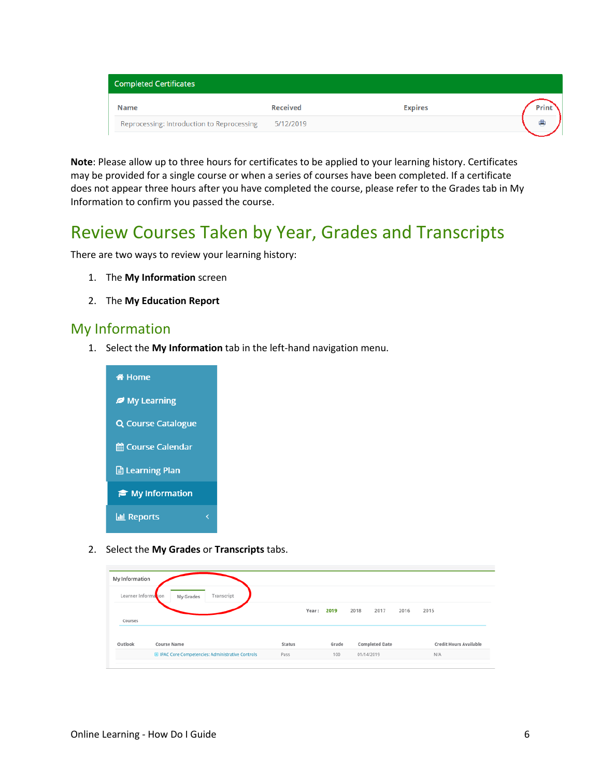| <b>Completed Certificates</b>                        |                 |                |              |  |
|------------------------------------------------------|-----------------|----------------|--------------|--|
| Name                                                 | <b>Received</b> | <b>Expires</b> | <b>Print</b> |  |
| Reprocessing: Introduction to Reprocessing 5/12/2019 |                 |                |              |  |

**Note**: Please allow up to three hours for certificates to be applied to your learning history. Certificates may be provided for a single course or when a series of courses have been completed. If a certificate does not appear three hours after you have completed the course, please refer to the Grades tab in My Information to confirm you passed the course.

#### <span id="page-6-0"></span>Review Courses Taken by Year, Grades and Transcripts

There are two ways to review your learning history:

- 1. The **My Information** screen
- 2. The **My Education Report**

#### My Information

1. Select the **My Information** tab in the left-hand navigation menu.



2. Select the **My Grades** or **Transcripts** tabs.

| My Information      |                         |        |       |                       |      |                               |
|---------------------|-------------------------|--------|-------|-----------------------|------|-------------------------------|
| Learner Information | Transcript<br>My Grades |        |       |                       |      |                               |
|                     |                         | Year:  | 2019  | 2018<br>2017          | 2016 | 2015                          |
| Courses             |                         |        |       |                       |      |                               |
| Outlook             | <b>Course Name</b>      | Status | Grade | <b>Completed Date</b> |      | <b>Credit Hours Available</b> |